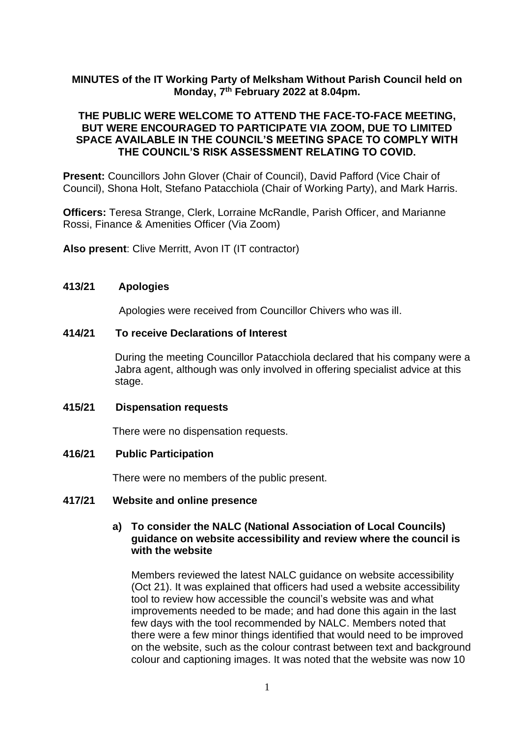# **MINUTES of the IT Working Party of Melksham Without Parish Council held on Monday, 7 th February 2022 at 8.04pm.**

# **THE PUBLIC WERE WELCOME TO ATTEND THE FACE-TO-FACE MEETING, BUT WERE ENCOURAGED TO PARTICIPATE VIA ZOOM, DUE TO LIMITED SPACE AVAILABLE IN THE COUNCIL'S MEETING SPACE TO COMPLY WITH THE COUNCIL'S RISK ASSESSMENT RELATING TO COVID.**

**Present:** Councillors John Glover (Chair of Council), David Pafford (Vice Chair of Council), Shona Holt, Stefano Patacchiola (Chair of Working Party), and Mark Harris.

**Officers:** Teresa Strange, Clerk, Lorraine McRandle, Parish Officer, and Marianne Rossi, Finance & Amenities Officer (Via Zoom)

**Also present**: Clive Merritt, Avon IT (IT contractor)

### **413/21 Apologies**

Apologies were received from Councillor Chivers who was ill.

## **414/21 To receive Declarations of Interest**

During the meeting Councillor Patacchiola declared that his company were a Jabra agent, although was only involved in offering specialist advice at this stage.

## **415/21 Dispensation requests**

There were no dispensation requests.

### **416/21 Public Participation**

There were no members of the public present.

### **417/21 Website and online presence**

## **a) To consider the NALC (National Association of Local Councils) guidance on website accessibility and review where the council is with the website**

Members reviewed the latest NALC guidance on website accessibility (Oct 21). It was explained that officers had used a website accessibility tool to review how accessible the council's website was and what improvements needed to be made; and had done this again in the last few days with the tool recommended by NALC. Members noted that there were a few minor things identified that would need to be improved on the website, such as the colour contrast between text and background colour and captioning images. It was noted that the website was now 10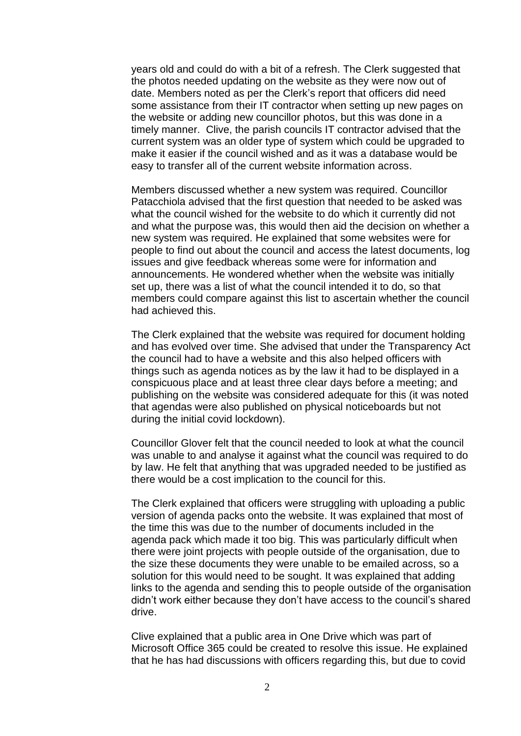years old and could do with a bit of a refresh. The Clerk suggested that the photos needed updating on the website as they were now out of date. Members noted as per the Clerk's report that officers did need some assistance from their IT contractor when setting up new pages on the website or adding new councillor photos, but this was done in a timely manner. Clive, the parish councils IT contractor advised that the current system was an older type of system which could be upgraded to make it easier if the council wished and as it was a database would be easy to transfer all of the current website information across.

Members discussed whether a new system was required. Councillor Patacchiola advised that the first question that needed to be asked was what the council wished for the website to do which it currently did not and what the purpose was, this would then aid the decision on whether a new system was required. He explained that some websites were for people to find out about the council and access the latest documents, log issues and give feedback whereas some were for information and announcements. He wondered whether when the website was initially set up, there was a list of what the council intended it to do, so that members could compare against this list to ascertain whether the council had achieved this.

The Clerk explained that the website was required for document holding and has evolved over time. She advised that under the Transparency Act the council had to have a website and this also helped officers with things such as agenda notices as by the law it had to be displayed in a conspicuous place and at least three clear days before a meeting; and publishing on the website was considered adequate for this (it was noted that agendas were also published on physical noticeboards but not during the initial covid lockdown).

Councillor Glover felt that the council needed to look at what the council was unable to and analyse it against what the council was required to do by law. He felt that anything that was upgraded needed to be justified as there would be a cost implication to the council for this.

The Clerk explained that officers were struggling with uploading a public version of agenda packs onto the website. It was explained that most of the time this was due to the number of documents included in the agenda pack which made it too big. This was particularly difficult when there were joint projects with people outside of the organisation, due to the size these documents they were unable to be emailed across, so a solution for this would need to be sought. It was explained that adding links to the agenda and sending this to people outside of the organisation didn't work either because they don't have access to the council's shared drive.

Clive explained that a public area in One Drive which was part of Microsoft Office 365 could be created to resolve this issue. He explained that he has had discussions with officers regarding this, but due to covid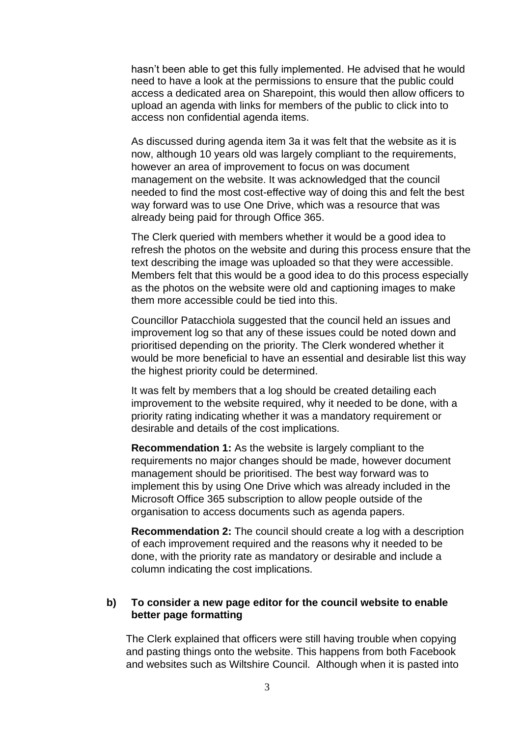hasn't been able to get this fully implemented. He advised that he would need to have a look at the permissions to ensure that the public could access a dedicated area on Sharepoint, this would then allow officers to upload an agenda with links for members of the public to click into to access non confidential agenda items.

As discussed during agenda item 3a it was felt that the website as it is now, although 10 years old was largely compliant to the requirements, however an area of improvement to focus on was document management on the website. It was acknowledged that the council needed to find the most cost-effective way of doing this and felt the best way forward was to use One Drive, which was a resource that was already being paid for through Office 365.

The Clerk queried with members whether it would be a good idea to refresh the photos on the website and during this process ensure that the text describing the image was uploaded so that they were accessible. Members felt that this would be a good idea to do this process especially as the photos on the website were old and captioning images to make them more accessible could be tied into this.

Councillor Patacchiola suggested that the council held an issues and improvement log so that any of these issues could be noted down and prioritised depending on the priority. The Clerk wondered whether it would be more beneficial to have an essential and desirable list this way the highest priority could be determined.

It was felt by members that a log should be created detailing each improvement to the website required, why it needed to be done, with a priority rating indicating whether it was a mandatory requirement or desirable and details of the cost implications.

**Recommendation 1:** As the website is largely compliant to the requirements no major changes should be made, however document management should be prioritised. The best way forward was to implement this by using One Drive which was already included in the Microsoft Office 365 subscription to allow people outside of the organisation to access documents such as agenda papers.

**Recommendation 2:** The council should create a log with a description of each improvement required and the reasons why it needed to be done, with the priority rate as mandatory or desirable and include a column indicating the cost implications.

## **b) To consider a new page editor for the council website to enable better page formatting**

The Clerk explained that officers were still having trouble when copying and pasting things onto the website. This happens from both Facebook and websites such as Wiltshire Council. Although when it is pasted into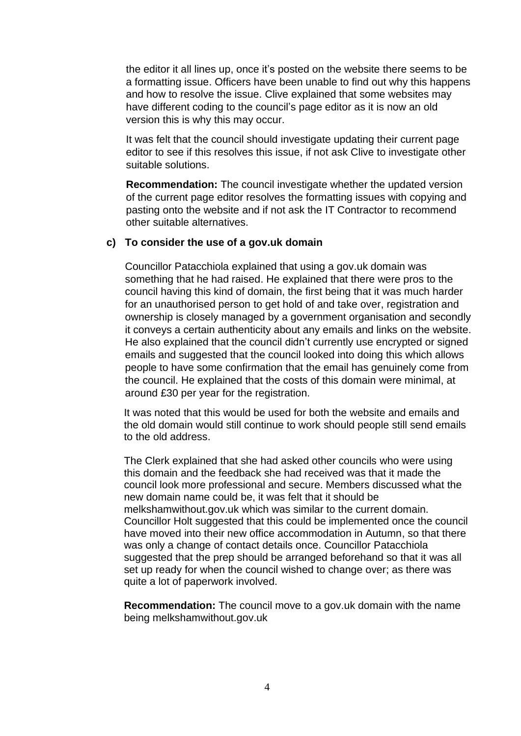the editor it all lines up, once it's posted on the website there seems to be a formatting issue. Officers have been unable to find out why this happens and how to resolve the issue. Clive explained that some websites may have different coding to the council's page editor as it is now an old version this is why this may occur.

It was felt that the council should investigate updating their current page editor to see if this resolves this issue, if not ask Clive to investigate other suitable solutions.

**Recommendation:** The council investigate whether the updated version of the current page editor resolves the formatting issues with copying and pasting onto the website and if not ask the IT Contractor to recommend other suitable alternatives.

## **c) To consider the use of a gov.uk domain**

Councillor Patacchiola explained that using a gov.uk domain was something that he had raised. He explained that there were pros to the council having this kind of domain, the first being that it was much harder for an unauthorised person to get hold of and take over, registration and ownership is closely managed by a government organisation and secondly it conveys a certain authenticity about any emails and links on the website. He also explained that the council didn't currently use encrypted or signed emails and suggested that the council looked into doing this which allows people to have some confirmation that the email has genuinely come from the council. He explained that the costs of this domain were minimal, at around £30 per year for the registration.

It was noted that this would be used for both the website and emails and the old domain would still continue to work should people still send emails to the old address.

The Clerk explained that she had asked other councils who were using this domain and the feedback she had received was that it made the council look more professional and secure. Members discussed what the new domain name could be, it was felt that it should be melkshamwithout.gov.uk which was similar to the current domain. Councillor Holt suggested that this could be implemented once the council have moved into their new office accommodation in Autumn, so that there was only a change of contact details once. Councillor Patacchiola suggested that the prep should be arranged beforehand so that it was all set up ready for when the council wished to change over; as there was quite a lot of paperwork involved.

**Recommendation:** The council move to a gov.uk domain with the name being melkshamwithout.gov.uk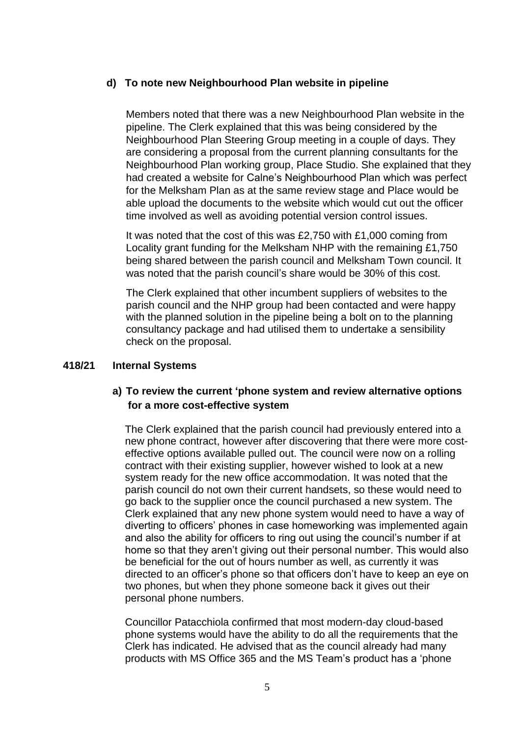## **d) To note new Neighbourhood Plan website in pipeline**

Members noted that there was a new Neighbourhood Plan website in the pipeline. The Clerk explained that this was being considered by the Neighbourhood Plan Steering Group meeting in a couple of days. They are considering a proposal from the current planning consultants for the Neighbourhood Plan working group, Place Studio. She explained that they had created a website for Calne's Neighbourhood Plan which was perfect for the Melksham Plan as at the same review stage and Place would be able upload the documents to the website which would cut out the officer time involved as well as avoiding potential version control issues.

It was noted that the cost of this was £2,750 with £1,000 coming from Locality grant funding for the Melksham NHP with the remaining £1,750 being shared between the parish council and Melksham Town council. It was noted that the parish council's share would be 30% of this cost.

The Clerk explained that other incumbent suppliers of websites to the parish council and the NHP group had been contacted and were happy with the planned solution in the pipeline being a bolt on to the planning consultancy package and had utilised them to undertake a sensibility check on the proposal.

## **418/21 Internal Systems**

# **a) To review the current 'phone system and review alternative options for a more cost-effective system**

The Clerk explained that the parish council had previously entered into a new phone contract, however after discovering that there were more costeffective options available pulled out. The council were now on a rolling contract with their existing supplier, however wished to look at a new system ready for the new office accommodation. It was noted that the parish council do not own their current handsets, so these would need to go back to the supplier once the council purchased a new system. The Clerk explained that any new phone system would need to have a way of diverting to officers' phones in case homeworking was implemented again and also the ability for officers to ring out using the council's number if at home so that they aren't giving out their personal number. This would also be beneficial for the out of hours number as well, as currently it was directed to an officer's phone so that officers don't have to keep an eye on two phones, but when they phone someone back it gives out their personal phone numbers.

Councillor Patacchiola confirmed that most modern-day cloud-based phone systems would have the ability to do all the requirements that the Clerk has indicated. He advised that as the council already had many products with MS Office 365 and the MS Team's product has a 'phone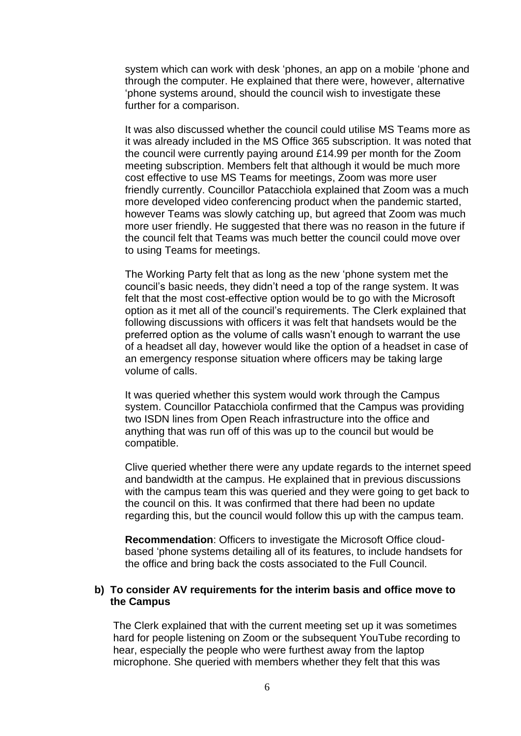system which can work with desk 'phones, an app on a mobile 'phone and through the computer. He explained that there were, however, alternative 'phone systems around, should the council wish to investigate these further for a comparison.

It was also discussed whether the council could utilise MS Teams more as it was already included in the MS Office 365 subscription. It was noted that the council were currently paying around £14.99 per month for the Zoom meeting subscription. Members felt that although it would be much more cost effective to use MS Teams for meetings, Zoom was more user friendly currently. Councillor Patacchiola explained that Zoom was a much more developed video conferencing product when the pandemic started, however Teams was slowly catching up, but agreed that Zoom was much more user friendly. He suggested that there was no reason in the future if the council felt that Teams was much better the council could move over to using Teams for meetings.

The Working Party felt that as long as the new 'phone system met the council's basic needs, they didn't need a top of the range system. It was felt that the most cost-effective option would be to go with the Microsoft option as it met all of the council's requirements. The Clerk explained that following discussions with officers it was felt that handsets would be the preferred option as the volume of calls wasn't enough to warrant the use of a headset all day, however would like the option of a headset in case of an emergency response situation where officers may be taking large volume of calls.

It was queried whether this system would work through the Campus system. Councillor Patacchiola confirmed that the Campus was providing two ISDN lines from Open Reach infrastructure into the office and anything that was run off of this was up to the council but would be compatible.

Clive queried whether there were any update regards to the internet speed and bandwidth at the campus. He explained that in previous discussions with the campus team this was queried and they were going to get back to the council on this. It was confirmed that there had been no update regarding this, but the council would follow this up with the campus team.

**Recommendation**: Officers to investigate the Microsoft Office cloudbased 'phone systems detailing all of its features, to include handsets for the office and bring back the costs associated to the Full Council.

## **b) To consider AV requirements for the interim basis and office move to the Campus**

The Clerk explained that with the current meeting set up it was sometimes hard for people listening on Zoom or the subsequent YouTube recording to hear, especially the people who were furthest away from the laptop microphone. She queried with members whether they felt that this was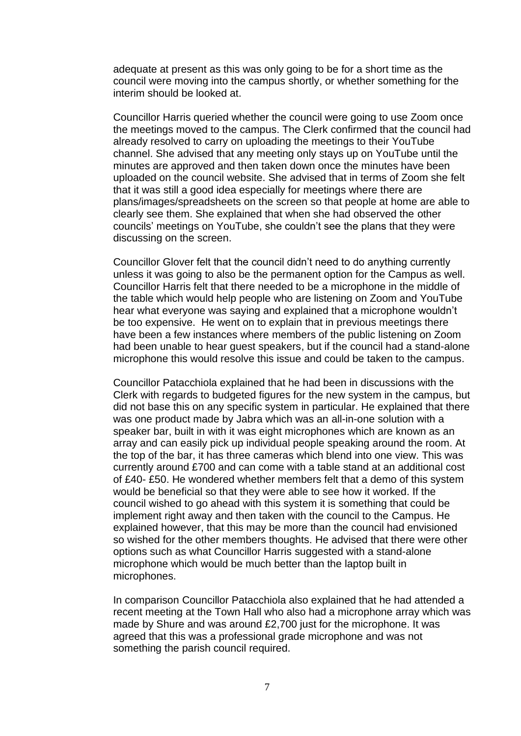adequate at present as this was only going to be for a short time as the council were moving into the campus shortly, or whether something for the interim should be looked at.

Councillor Harris queried whether the council were going to use Zoom once the meetings moved to the campus. The Clerk confirmed that the council had already resolved to carry on uploading the meetings to their YouTube channel. She advised that any meeting only stays up on YouTube until the minutes are approved and then taken down once the minutes have been uploaded on the council website. She advised that in terms of Zoom she felt that it was still a good idea especially for meetings where there are plans/images/spreadsheets on the screen so that people at home are able to clearly see them. She explained that when she had observed the other councils' meetings on YouTube, she couldn't see the plans that they were discussing on the screen.

Councillor Glover felt that the council didn't need to do anything currently unless it was going to also be the permanent option for the Campus as well. Councillor Harris felt that there needed to be a microphone in the middle of the table which would help people who are listening on Zoom and YouTube hear what everyone was saying and explained that a microphone wouldn't be too expensive. He went on to explain that in previous meetings there have been a few instances where members of the public listening on Zoom had been unable to hear guest speakers, but if the council had a stand-alone microphone this would resolve this issue and could be taken to the campus.

Councillor Patacchiola explained that he had been in discussions with the Clerk with regards to budgeted figures for the new system in the campus, but did not base this on any specific system in particular. He explained that there was one product made by Jabra which was an all-in-one solution with a speaker bar, built in with it was eight microphones which are known as an array and can easily pick up individual people speaking around the room. At the top of the bar, it has three cameras which blend into one view. This was currently around £700 and can come with a table stand at an additional cost of £40- £50. He wondered whether members felt that a demo of this system would be beneficial so that they were able to see how it worked. If the council wished to go ahead with this system it is something that could be implement right away and then taken with the council to the Campus. He explained however, that this may be more than the council had envisioned so wished for the other members thoughts. He advised that there were other options such as what Councillor Harris suggested with a stand-alone microphone which would be much better than the laptop built in microphones.

In comparison Councillor Patacchiola also explained that he had attended a recent meeting at the Town Hall who also had a microphone array which was made by Shure and was around £2,700 just for the microphone. It was agreed that this was a professional grade microphone and was not something the parish council required.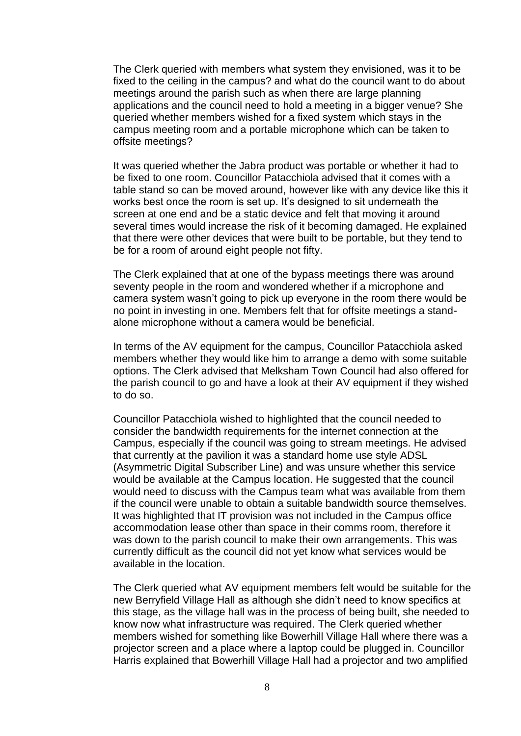The Clerk queried with members what system they envisioned, was it to be fixed to the ceiling in the campus? and what do the council want to do about meetings around the parish such as when there are large planning applications and the council need to hold a meeting in a bigger venue? She queried whether members wished for a fixed system which stays in the campus meeting room and a portable microphone which can be taken to offsite meetings?

It was queried whether the Jabra product was portable or whether it had to be fixed to one room. Councillor Patacchiola advised that it comes with a table stand so can be moved around, however like with any device like this it works best once the room is set up. It's designed to sit underneath the screen at one end and be a static device and felt that moving it around several times would increase the risk of it becoming damaged. He explained that there were other devices that were built to be portable, but they tend to be for a room of around eight people not fifty.

The Clerk explained that at one of the bypass meetings there was around seventy people in the room and wondered whether if a microphone and camera system wasn't going to pick up everyone in the room there would be no point in investing in one. Members felt that for offsite meetings a standalone microphone without a camera would be beneficial.

In terms of the AV equipment for the campus, Councillor Patacchiola asked members whether they would like him to arrange a demo with some suitable options. The Clerk advised that Melksham Town Council had also offered for the parish council to go and have a look at their AV equipment if they wished to do so.

Councillor Patacchiola wished to highlighted that the council needed to consider the bandwidth requirements for the internet connection at the Campus, especially if the council was going to stream meetings. He advised that currently at the pavilion it was a standard home use style ADSL (Asymmetric Digital Subscriber Line) and was unsure whether this service would be available at the Campus location. He suggested that the council would need to discuss with the Campus team what was available from them if the council were unable to obtain a suitable bandwidth source themselves. It was highlighted that IT provision was not included in the Campus office accommodation lease other than space in their comms room, therefore it was down to the parish council to make their own arrangements. This was currently difficult as the council did not yet know what services would be available in the location.

The Clerk queried what AV equipment members felt would be suitable for the new Berryfield Village Hall as although she didn't need to know specifics at this stage, as the village hall was in the process of being built, she needed to know now what infrastructure was required. The Clerk queried whether members wished for something like Bowerhill Village Hall where there was a projector screen and a place where a laptop could be plugged in. Councillor Harris explained that Bowerhill Village Hall had a projector and two amplified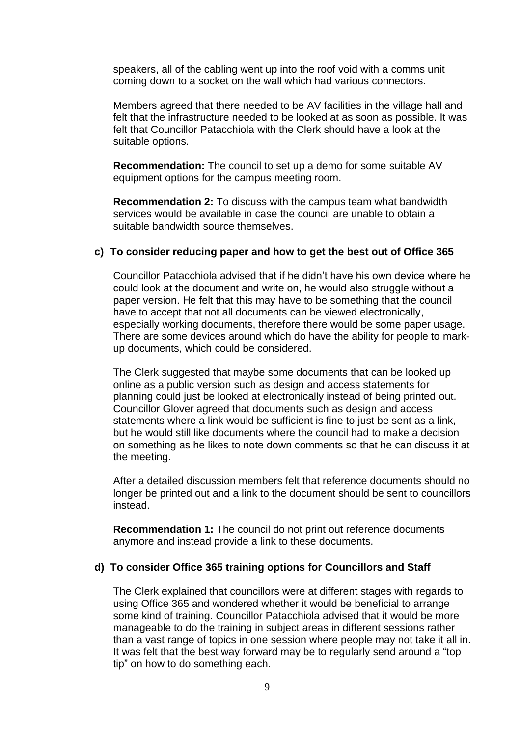speakers, all of the cabling went up into the roof void with a comms unit coming down to a socket on the wall which had various connectors.

Members agreed that there needed to be AV facilities in the village hall and felt that the infrastructure needed to be looked at as soon as possible. It was felt that Councillor Patacchiola with the Clerk should have a look at the suitable options.

**Recommendation:** The council to set up a demo for some suitable AV equipment options for the campus meeting room.

**Recommendation 2:** To discuss with the campus team what bandwidth services would be available in case the council are unable to obtain a suitable bandwidth source themselves.

#### **c) To consider reducing paper and how to get the best out of Office 365**

Councillor Patacchiola advised that if he didn't have his own device where he could look at the document and write on, he would also struggle without a paper version. He felt that this may have to be something that the council have to accept that not all documents can be viewed electronically, especially working documents, therefore there would be some paper usage. There are some devices around which do have the ability for people to markup documents, which could be considered.

The Clerk suggested that maybe some documents that can be looked up online as a public version such as design and access statements for planning could just be looked at electronically instead of being printed out. Councillor Glover agreed that documents such as design and access statements where a link would be sufficient is fine to just be sent as a link, but he would still like documents where the council had to make a decision on something as he likes to note down comments so that he can discuss it at the meeting.

After a detailed discussion members felt that reference documents should no longer be printed out and a link to the document should be sent to councillors instead.

**Recommendation 1:** The council do not print out reference documents anymore and instead provide a link to these documents.

#### **d) To consider Office 365 training options for Councillors and Staff**

The Clerk explained that councillors were at different stages with regards to using Office 365 and wondered whether it would be beneficial to arrange some kind of training. Councillor Patacchiola advised that it would be more manageable to do the training in subject areas in different sessions rather than a vast range of topics in one session where people may not take it all in. It was felt that the best way forward may be to regularly send around a "top tip" on how to do something each.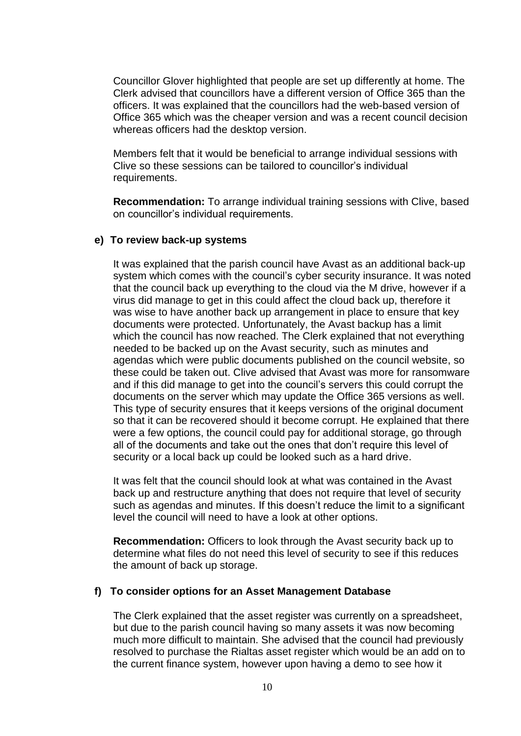Councillor Glover highlighted that people are set up differently at home. The Clerk advised that councillors have a different version of Office 365 than the officers. It was explained that the councillors had the web-based version of Office 365 which was the cheaper version and was a recent council decision whereas officers had the desktop version.

Members felt that it would be beneficial to arrange individual sessions with Clive so these sessions can be tailored to councillor's individual requirements.

**Recommendation:** To arrange individual training sessions with Clive, based on councillor's individual requirements.

### **e) To review back-up systems**

It was explained that the parish council have Avast as an additional back-up system which comes with the council's cyber security insurance. It was noted that the council back up everything to the cloud via the M drive, however if a virus did manage to get in this could affect the cloud back up, therefore it was wise to have another back up arrangement in place to ensure that key documents were protected. Unfortunately, the Avast backup has a limit which the council has now reached. The Clerk explained that not everything needed to be backed up on the Avast security, such as minutes and agendas which were public documents published on the council website, so these could be taken out. Clive advised that Avast was more for ransomware and if this did manage to get into the council's servers this could corrupt the documents on the server which may update the Office 365 versions as well. This type of security ensures that it keeps versions of the original document so that it can be recovered should it become corrupt. He explained that there were a few options, the council could pay for additional storage, go through all of the documents and take out the ones that don't require this level of security or a local back up could be looked such as a hard drive.

It was felt that the council should look at what was contained in the Avast back up and restructure anything that does not require that level of security such as agendas and minutes. If this doesn't reduce the limit to a significant level the council will need to have a look at other options.

**Recommendation:** Officers to look through the Avast security back up to determine what files do not need this level of security to see if this reduces the amount of back up storage.

#### **f) To consider options for an Asset Management Database**

The Clerk explained that the asset register was currently on a spreadsheet, but due to the parish council having so many assets it was now becoming much more difficult to maintain. She advised that the council had previously resolved to purchase the Rialtas asset register which would be an add on to the current finance system, however upon having a demo to see how it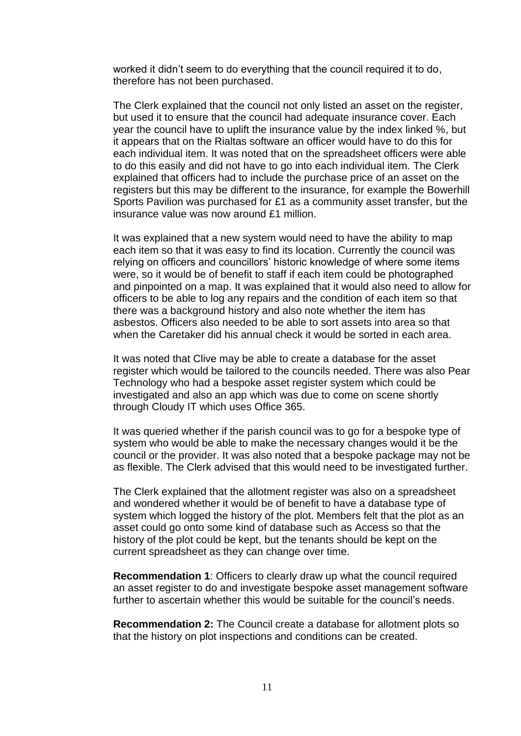worked it didn't seem to do everything that the council required it to do, therefore has not been purchased.

The Clerk explained that the council not only listed an asset on the register, but used it to ensure that the council had adequate insurance cover. Each year the council have to uplift the insurance value by the index linked %, but it appears that on the Rialtas software an officer would have to do this for each individual item. It was noted that on the spreadsheet officers were able to do this easily and did not have to go into each individual item. The Clerk explained that officers had to include the purchase price of an asset on the registers but this may be different to the insurance, for example the Bowerhill Sports Pavilion was purchased for £1 as a community asset transfer, but the insurance value was now around £1 million.

It was explained that a new system would need to have the ability to map each item so that it was easy to find its location. Currently the council was relying on officers and councillors' historic knowledge of where some items were, so it would be of benefit to staff if each item could be photographed and pinpointed on a map. It was explained that it would also need to allow for officers to be able to log any repairs and the condition of each item so that there was a background history and also note whether the item has asbestos. Officers also needed to be able to sort assets into area so that when the Caretaker did his annual check it would be sorted in each area.

It was noted that Clive may be able to create a database for the asset register which would be tailored to the councils needed. There was also Pear Technology who had a bespoke asset register system which could be investigated and also an app which was due to come on scene shortly through Cloudy IT which uses Office 365.

It was queried whether if the parish council was to go for a bespoke type of system who would be able to make the necessary changes would it be the council or the provider. It was also noted that a bespoke package may not be as flexible. The Clerk advised that this would need to be investigated further.

The Clerk explained that the allotment register was also on a spreadsheet and wondered whether it would be of benefit to have a database type of system which logged the history of the plot. Members felt that the plot as an asset could go onto some kind of database such as Access so that the history of the plot could be kept, but the tenants should be kept on the current spreadsheet as they can change over time.

**Recommendation 1**: Officers to clearly draw up what the council required an asset register to do and investigate bespoke asset management software further to ascertain whether this would be suitable for the council's needs.

**Recommendation 2:** The Council create a database for allotment plots so that the history on plot inspections and conditions can be created.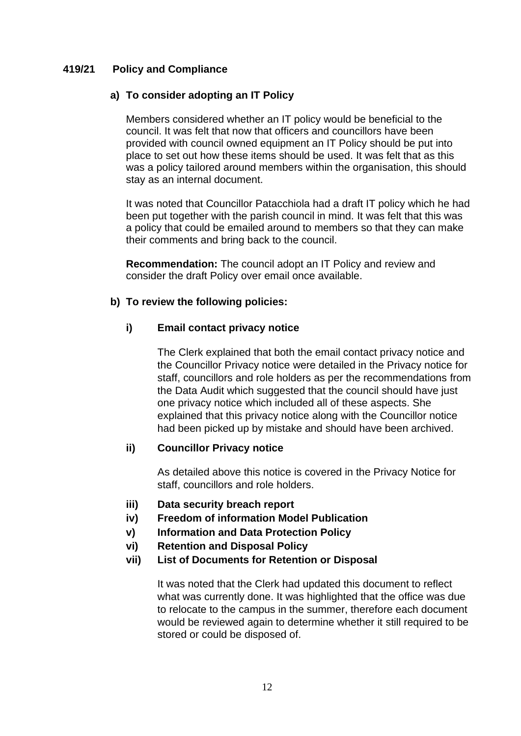## **419/21 Policy and Compliance**

# **a) To consider adopting an IT Policy**

Members considered whether an IT policy would be beneficial to the council. It was felt that now that officers and councillors have been provided with council owned equipment an IT Policy should be put into place to set out how these items should be used. It was felt that as this was a policy tailored around members within the organisation, this should stay as an internal document.

It was noted that Councillor Patacchiola had a draft IT policy which he had been put together with the parish council in mind. It was felt that this was a policy that could be emailed around to members so that they can make their comments and bring back to the council.

**Recommendation:** The council adopt an IT Policy and review and consider the draft Policy over email once available.

# **b) To review the following policies:**

# **i) Email contact privacy notice**

The Clerk explained that both the email contact privacy notice and the Councillor Privacy notice were detailed in the Privacy notice for staff, councillors and role holders as per the recommendations from the Data Audit which suggested that the council should have just one privacy notice which included all of these aspects. She explained that this privacy notice along with the Councillor notice had been picked up by mistake and should have been archived.

# **ii) Councillor Privacy notice**

As detailed above this notice is covered in the Privacy Notice for staff, councillors and role holders.

- **iii) Data security breach report**
- **iv) Freedom of information Model Publication**
- **v) Information and Data Protection Policy**
- **vi) Retention and Disposal Policy**
- **vii) List of Documents for Retention or Disposal**

It was noted that the Clerk had updated this document to reflect what was currently done. It was highlighted that the office was due to relocate to the campus in the summer, therefore each document would be reviewed again to determine whether it still required to be stored or could be disposed of.